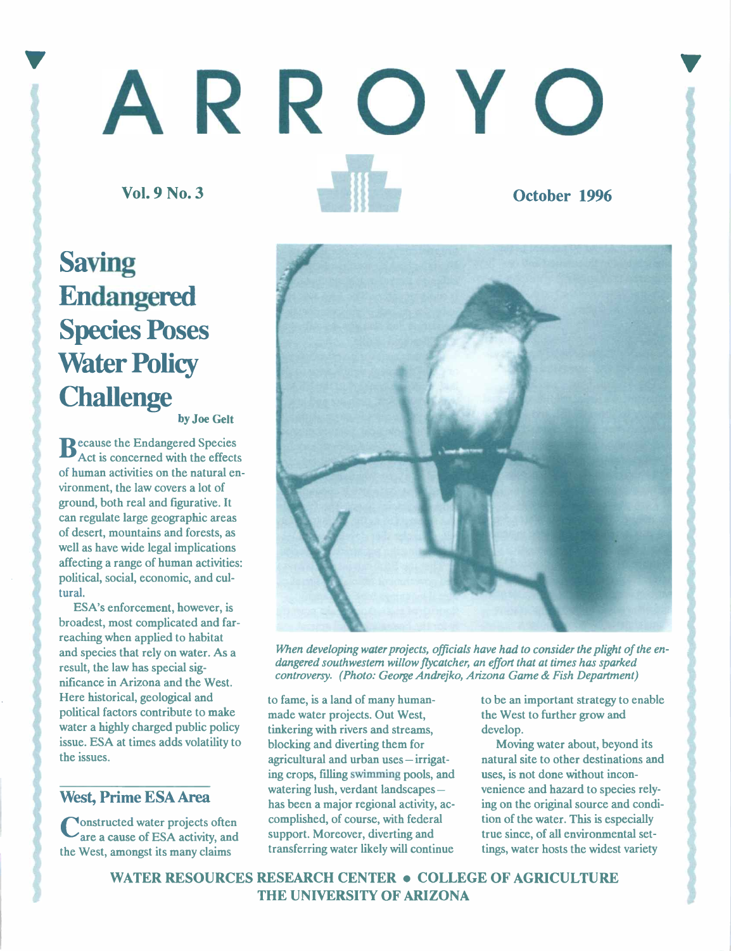# 'ARROYO

Vol. 9 No. 3 October 1996

## Saving Endangered Species Poses **Water Policy Challenge**

by Joe Gelt

 $\mathbf{B}_{\text{Act}}^{\text{ecause the Endanged Species}}$ Act is concerned with the effects of human activities on the natural environment, the law covers a lot of ground, both real and figurative. It can regulate large geographic areas of desert, mountains and forests, as well as have wide legal implications affecting a range of human activities: political, social, economic, and cultural.

ESA's enforcement, however, is broadest, most complicated and farreaching when applied to habitat and species that rely on water. As a result, the law has special significance in Arizona and the West. Here historical, geological and political factors contribute to make water a highly charged public policy issue. ESA at times adds volatility to the issues.

## West, Prime ESA Area

Constructed water projects often compared water projects often compared water projects of the supp the West, amongst its many claims



When developing water projects, officials have had to consider the plight of the endangered southwestern willow flycatcher, an effort that at times has sparked controversy. (Photo: George Andrejko, Arizona Game & Fish Department)

to fame, is a land of many humanmade water projects. Out West, tinkering with rivers and streams, blocking and diverting them for agricultural and urban uses - irrigating crops, filling swimming pools, and watering lush, verdant landscapes has been a major regional activity, accomplished, of course, with federal support. Moreover, diverting and transferring water likely will continue

to be an important strategy to enable the West to further grow and develop.

Moving water about, beyond its natural site to other destinations and uses, is not done without inconvenience and hazard to species relying on the original source and condition of the water. This is especially true since, of all environmental settings, water hosts the widest variety

WATER RESOURCES RESEARCH CENTER . COLLEGE OF AGRICULTURE THE UNIVERSITY OF ARIZONA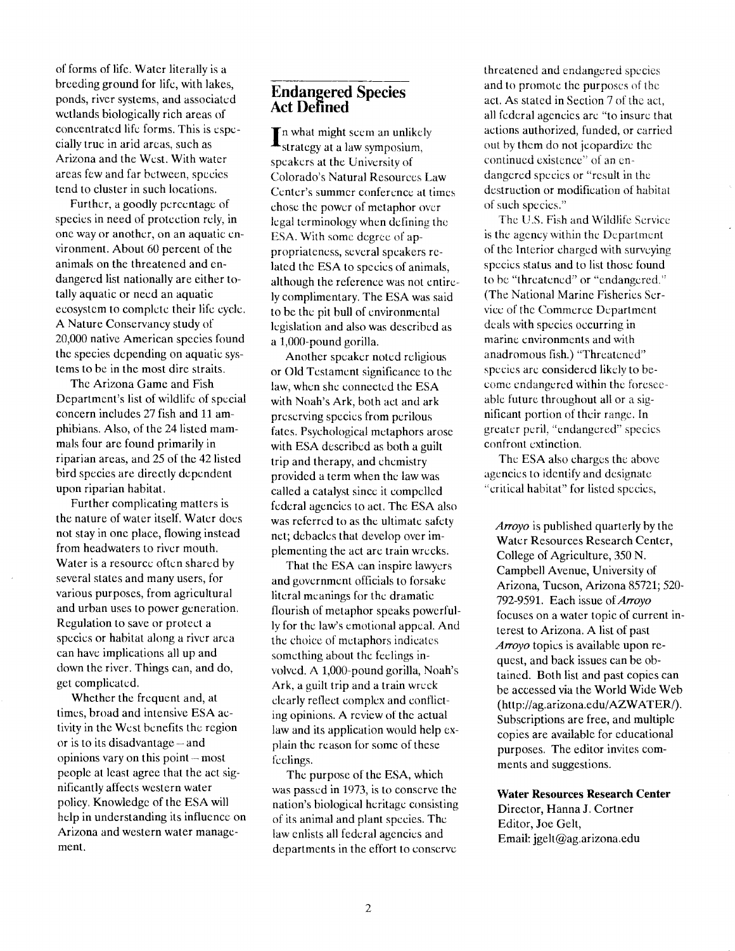of forms of life. Water literally is a breeding ground for life, with lakes, ponds, river systems, and associated wetlands biologically rich areas of concentrated life forms. This is especially true in arid areas, such as Arizona and the West. With water areas few and far between, species tend to cluster in such locations.

Further, a goodly percentage of species in need of protection rely, in one way or another, on an aquatic environment. About 60 percent of the animals on the threatened and endangered list nationally are either totally aquatic or need an aquatic ecosystem to complete their life cycle. A Nature Conservancy study of 20,000 native American species found the species depending on aquatic systems to be in the most dire straits.

The Arizona Game and Fish Department's list of wildlife of special concern includes 27 fish and 11 amphibians. Also, of the 24 listed mammals four are found primarily in riparian areas, and 25 of the 42 listed bird species are directly dependent upon riparian habitat.

Further complicating matters is the nature of water itself. Water does not stay in one place, flowing instead from headwaters to river mouth. Water is a resource often shared by several states and many users, for various purposes, from agricultural and urban uses to power generation. Regulation to save or protect a species or habitat along a river area can have implications all up and down the river. Things can, and do, get complicated.

Whether the frequent and, at times, broad and intensive ESA activity in the West benefits the region or is to its disadvantage - and opinions vary on this point  $-$  most people at least agree that the act significantly affects western water policy. Knowledge of the ESA will help in understanding its influence on Arizona and western water management.

#### Endangered Species Act Defined

what might seem an unlikely strategy at a law symposium, speakers at the University of Colorado's Natural Resources Law Center's summer conference at times chose the power of metaphor over legal terminology when defining the ESA, With some degree of appropriateness, several speakers related the ESA to species of animals, although the reference was not entirely complimentary. The ESA was said to he the pit bull of environmental legislation and also was described as a 1,000-pound gorilla.

Another speaker noted religious or Old Testament significance to the law, when she connected the ESA with Noah's Ark, both act and ark preserving species from perilous fates. Psychological metaphors arose with ESA described as both a guilt trip and therapy, and chemistry provided a term when the law was called a catalyst since it compelled federal agencies to act. The ESA also was referred to as the ultimate safety net; debacles that develop over implementing the act are train wrecks.

That the ESA can inspire lawyers and government officials to forsake literal meanings for the dramatic flourish of metaphor speaks powerfully for the law's emotional appeal. And the choice of metaphors indicates something about the feelings involved. A 1,000-pound gorilla, Noah's Ark, a guilt trip and a train wreck clearly reflect complex and conflicting opinions. A review of the actual law and its application would help explain the reason for some of these feelings.

The purpose of the ESA, which was passed in 1973, is to conserve the nation's biological heritage consisting of its animal and plant species. The law enlists all federal agencies and departments in the effort to conserve

threatened and endangered species and to promote the purposes of the act. As stated in Section 7 of the act. all federal agencies are "to insure that actions authorized, funded, or carried out by them do not jeopardize the continued existence" ot an endangered species or "result in the destruction or modification of habitat of such species."

The U.S. Fish and Wildlife Service is the agency within the Department of the lnterior charged with surveying species status and to list those found to he "threatened" or "endangered." (The National Marine Fisheries Service of the Commerce Department deals with species occurring in marine environments and with anadromous fish.) "Threatened" species arc considered likely to become endangered within the foreseeable future throughout all or a significant portion of their range. In greater peril, "endangered" species confront extinction.

The ESA also charges the above agencies to identify and designate 'critical habitat" for listed species,

Arroyo is published quarterly by the Water Resources Research Center, College of Agriculture, 350 N. Campbell Avenue, University of Arizona, Tucson, Arizona 85721; 520- 792-9591. Each issue of Arroyo focuses on a water topic of current interest to Arizona. A list of past Arroyo topics ís available upon request, and back issues can be obtained. Both list and past copies can be accessed via the World Wide Web (http://ag.arizona.edu/AZWATER/). Subscriptions are free, and multiple copies are available for educational purposes. The editor invites comments and suggestions.

Water Resources Research Center Director, Hanna J. Cortner Editor, Joe Gelt, Email: jgelt@ag.arizona.edu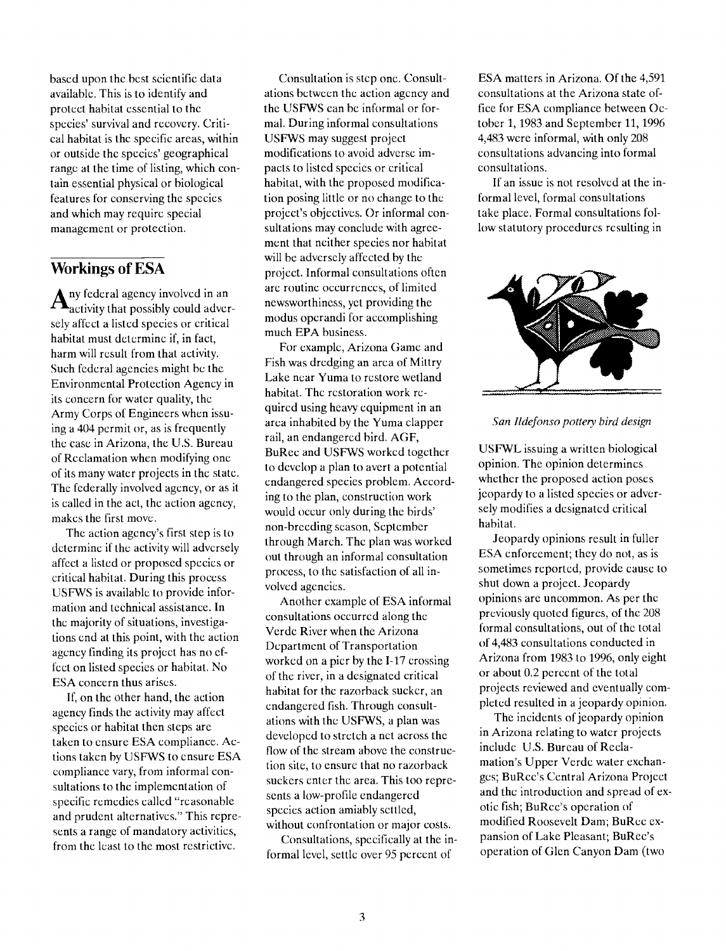based upon the best scientific data available. This is to identify and protect habitat essential to the species' survival and recovery. Critical habitat is the specific areas, within or outside the species' geographical range at the time of listing, which contain essential physical or biological features for conserving the species and which may require special management or protection.

#### Workings of ESA

 $A<sub>u</sub>$  are federal agency involved in an and all  $A<sub>u</sub>$  are  $A<sub>u</sub>$  are  $A<sub>u</sub>$  are  $A<sub>u</sub>$ sely affect a listed species or critical habitat must determine if, in fact, harm will result from that activity. Such federal agencies might be the Environmental Protection Agency in its concern for water quality, the Army Corps of Engineers when issuing a 404 permit or, as is frequently the case in Arizona, the U.S. Bureau of Reclamation when modifying one of its many water projects in the state. The federally involved agency, or as it is called in the act, the action agency, makes the first move.

The action agency's first step is to determine if the activity will adversely affect a listed or proposed species or critical habitat. During this process USFWS is available to provide information and technical assistance. In the majority of situations, investigations end at this point, with the action agency finding its project has no effect on listed species or habitat. No ESA concern thus arises.

If, on the other hand, the action agency finds the activity may affect species or habitat then steps are taken to ensure ESA compliance. Actions taken by USFWS to ensure ESA compliance vary, from informal consultations to the implementation of specific remedies called "reasonable and prudent alternatives." This represents a range of mandatory activities, from the least to the most restrictive.

Consultation is step one. Consultations between the action agency and the USFWS can be informal or formal. During informal consultations USFWS may suggest project modifications to avoid adverse impacts to listed species or critical habitat, with the proposed modification posing little or no change to the project's objectives. Or informal consultations may conclude with agreement that neither species nor habitat will be adversely affected by the project. Informal consultations often are routine occurrences, of limited newsworthiness, yet providing the modus operandi for accomplishing much EPA business.

For example, Arizona Game and Fish was dredging an area of Mittry Lake near Yuma to restore wetland habitat. The restoration work required using heavy equipment in an area inhabited by the Yuma clapper rail, an endangered bird. AGF, BuRec and USFWS worked together to develop a plan to avert a potential endangered species problem. According to the plan, construction work would occur only during the birds' non-breeding season, September through March. The plan was worked out through an informal consultation process, to the satisfaction of all involved agencies.

Another example of ESA informal consultations occurred along the Verde River when the Arizona Department of Transportation worked on a pier by the 1-17 crossing of the river, in a designated critical habitat for the razorback sucker, an endangered fish. Through consultations with the USFWS, a plan was developed to stretch a net across the flow of the stream above the construction site, to ensure that no razorback suckers enter the area. This too represents a low-profile endangered species action amiably settled, without confrontation or major costs.

Consultations, specifically at the informal level, settle over 95 percent of

ESA matters in Arizona. Of the 4,591 consultations at the Arizona state office for ESA compliance between October 1, 1983 and September 11, 1996 4,483 were informal, with only 208 consultations advancing into formal consultations.

If an issue is not resolved at the informal level, formal consultations take place. Formal consultations follow statutory procedures resulting in



#### San Ildefonso pottery bird design

USFWL issuing a written biological opinion. The opinion determines whether the proposed action poses jeopardy to a listed species or adversely modifies a designated critical habitat.

Jeopardy opinions result in fuller ESA enforcement; they do not, as is sometimes reported, provide cause to shut down a project. Jeopardy opinions are uncommon. As per the previously quoted figures, of the 208 formal consultations, out of the total of 4,483 consultations conducted in Arizona from 1983 to 1996, only eight or about 0.2 percent of the total projects reviewed and eventually completed resulted in a jeopardy opìnion.

The incidents of jeopardy opinion in Arizona relating to water projects include U.S. Bureau of Reclamation's Upper Verde water exchanges; BuRec's Central Arizona Project and the introduction and spread of exotic fish; BuRec's operation of modified Roosevelt Dam; BuRee expansion of Lake Pleasant; BuRec's operation of Glen Canyon Dam (two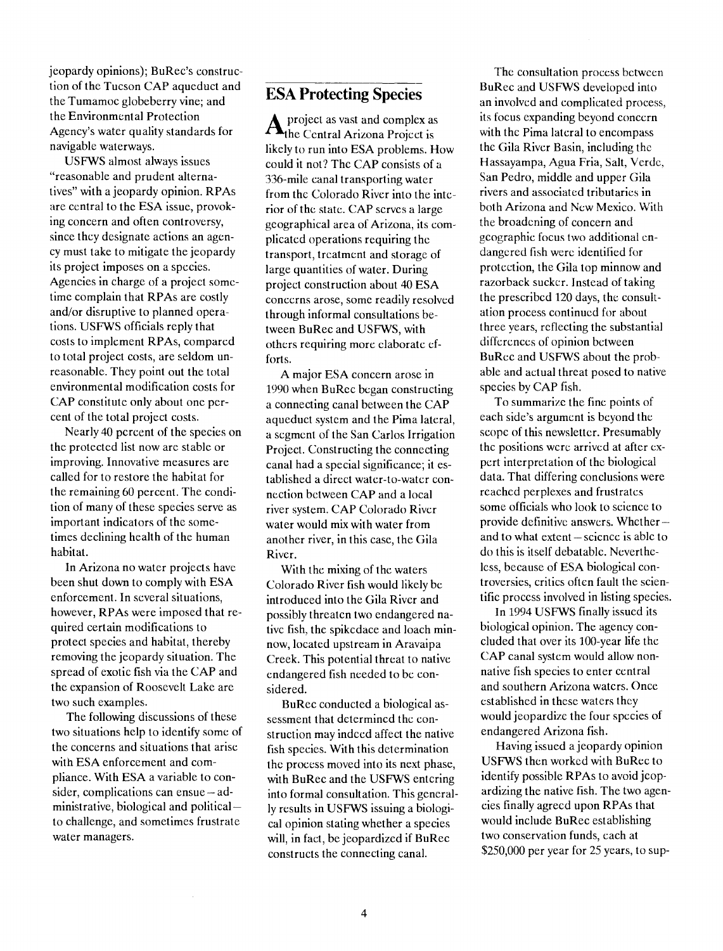jeopardy opinions); BuRec's construction of the Tucson CAP aqueduct and the Tumamoc globeberry vine; and the Environmental Protection Agency's water quality standards for navigable waterways.

USFWS almost always issues "reasonable and prudent alternatives" with a jeopardy opinion. RPAs are central to the ESA issue, provoking concern and often controversy, since they designate actions an agency must take to mitigate the jeopardy its project imposes on a species. Agencies in charge of a project sometime complain that RPAs are costly and/or disruptive to planned operations. USFWS officials reply that costs to implement RPAs, compared to total project costs, are seldom unreasonable. They point out the total environmental modification costs for CAP constitute only about one percent of the total project costs.

Nearly 40 percent of the species on the protected list now are stable or improving. Innovative measures are called for to restore the habitat for the remaining 60 percent. The condition of many of these species serve as important indicators of the sometimes declining health of the human habitat.

In Arizona no water projects have been shut down to comply with ESA enforcement. In several situations, however, RPAs were imposed that required certain modifications to protect species and habitat, thereby removing the jeopardy situation. The spread of exotic fish via the CAP and the expansion of Roosevelt Lake are two such examples.

The following discussions of these two situations help to identify some of the concerns and situations that arise with ESA enforcement and compliance. With ESA a variable to consider, complications can ensue  $-\text{ad}$ ministrative, biological and political to challenge, and sometimes frustrate water managers.

### ESA Protecting Species

 $A_{\text{the Central Arizona Project is}}$ likely to run into ESA problems. How could it not? The CAP consists of a 336-mile canal transporting water from the Colorado River into the interior of the state. CAP serves a large geographical area of Arizona, its complicated operations requiring the transport, treatment and storage of large quantities of water. During project construction about 40 ESA concerns arose, some readily resolved through informal consultations between BuRee and USFWS, with others requiring more elaborate efforts.

A major ESA concern arose in 1990 when BuRec began constructing a connecting canal between the CAP aqueduct system and the Pima lateral, a segment of the San Carlos Irrigation Project. Constructing the connecting canal had a special significance; it established a direct water-to-water connection between CAP and a local river system. CAP Colorado River water would mix with water from another river, in this case, the Gila River.

With the mixing of the waters Colorado River fish would likely be introduced into the Gila River and possibly threaten two endangered native fish, the spikedace and bach minnow, located upstream in Aravaipa Creek. This potential threat to native endangered fish needed to be considered.

BuRee conducted a biological assessment that determined the construction may indeed affect the native fish species. With this determination the process moved into its next phase, with BuRec and the USFWS entering into formal consultation. This generally results in USFWS issuing a biological opinion stating whether a species will, in fact, be jeopardized if BuRec constructs the connecting canal.

The consultation process between BuRee and USFWS developed into an involved and complicated process, its focus expanding beyond concern with the Pima lateral to encompass the Gila River Basin, including the Hassayampa, Agua Fria, Salt, Verde, San Pedro, middle and upper Gila rivers and associated tributaries in both Arizona and New Mexico. With the broadening of concern and geographie focus two additional endangered fish were identified for protection, the Gila top minnow and razorback sucker. Instead of taking the prescribed 120 days, the consultation process continued for about three years, reflecting the substantial differences of opinion between BuRee and USFWS about the probable and actual threat posed to native species by CAP fish.

To summarize the fine points of each side's argument is beyond the scope of this newsletter. Presumably the positions were arrived at after expert interpretation of the biological data. That differing conclusions were reached perplexes and frustrates some officials who look to science to provide definitive answers. Whether  $$ and to what extent – science is able to do this is itself debatable. Nevertheless, because of ESA biological controversies, critics often fault the scientific process involved in listing species.

In 1994 USFWS finally issued its biological opinion. The agency concluded that over its 100-year life the CAP canal system would allow nonnative fish species to enter central and southern Arizona waters. Once established in these waters they would jeopardize the four species of endangered Arizona fish.

Having issued a jeopardy opinion USFWS then worked with BuRee to identify possible RPAs to avoid jcopardizing the native fish. The two agencies finally agreed upon RPAs that would include BuRee establishing two conservation funds, each at \$250,000 per year for 25 years, to sup-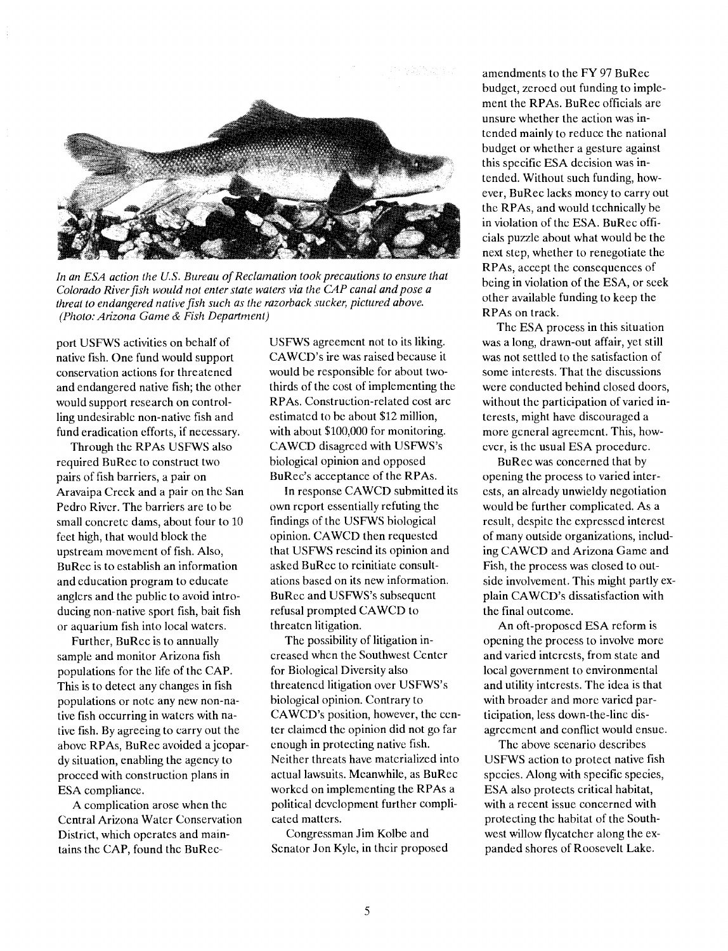

In an ESA action the U.S. Bureau of Reclamation took precautions to ensure that Colorado River fish would not enter state waters via the CAP canal and pose a threat to endangered native fish such as the razorback sucker, pictured above. (Photo. Arizona Game & Fish Department)

port USFWS activities on behalf of native fish. One fund would support conservation actions for threatened and endangered native fish; the other would support research on controlling undesirable non-native fish and fund eradication efforts, if necessary.

Through the RPAs USFWS also required BuRec to construct two pairs of fish barriers, a pair on Aravaipa Creek and a pair on the San Pedro River. The barriers are to he small concrete dams, about four to 10 feet high, that would block the upstream movement of fish. Also, BuRec is to establish an information and education program to educate anglers and the public to avoid introducing non-native sport fish, bait fish or aquarium fish into local waters.

Further, BuRec is to annually sample and monitor Arizona fish populations for the life of the CAP. This is to detect any changes in fish populations or note any new non-native fish occurring in waters with native fish. By agreeing to carry out the above RPAs, BuRee avoided ajeopardy situation, enabling the agency to proceed with construction plans in ESA compliance.

A complication arose when the Central Arizona Water Conservation Distrïct, which operates and maintains the CAP, found the BuReeUSFWS agreement not to its liking. CAWCD's ire was raised because it would be responsible for about twothirds of the cost of implementing the RPAs. Construction-related cost are estimated to be about \$12 million, with about \$100,000 for monitoring. CAWCD disagreed with USFWS's biological opinion and opposed BuRec's acceptance of the RPAs.

In response CAWCD submitted its own report essentially refuting the findings of the USFWS biological opinion. CAWCD then requested that USFWS rescind its opinion and asked BuRee to reinitiate consultations based on its new information. BuRee and USFWS's subsequent refusal prompted CAWCD to threaten litigation.

The possibility of litigation increased when the Southwest Center for Biological Diversity also threatened litigation over USFWS's biological opinion. Contrary to CAWCD's position, however, the center claimed the opinion did not go far enough in protecting native fish. Neither threats have materialized into actual lawsuits. Meanwhile, as BuRee worked on implementing the RPAs a political development further complicated matters.

Congressman Jim Kolbe and Senator Jon Kyle, in their proposed

amendments to the FY 97 BuRee budget, zeroed out funding to implement the RPAs. BuRee officials are unsure whether the action was intended mainly to reduce the national budget or whether a gesture against this specific ESA decision was intended. Without such funding, however, BuRee lacks money to carry out the RPAs, and would technically be in violation of the ESA. BuRee officials puzzle about what would be the next step, whether to renegotiate the RPAs, accept the consequences of being in violation of the ESA, or seek other available funding to keep the RPAs on track.

The ESA process in this situation was a long, drawn-out affair, yet still was not settled to the satisfaction of some interests. That the discussions were conducted behind closed doors, without the participation of varied interests, might have discouraged a more general agreement. This, however, is the usual ESA procedure.

BuRee was concerned that by opening the process to varied interests, an already unwieldy negotiation would be further complicated. As a result, despite the expressed interest of many outside organizations, including CAWCD and Arizona Game and Fish, the process was closed to outside involvement. This might partly explain CAWCD's dissatisfaction with the final outcome.

An oft-proposed ESA reform is opening the process to involve more and varied interests, from state and local government to environmental and utility interests. The idea is that with broader and more varied participation, less down-the-line disagreement and conflict would ensue.

The above scenario describes USFWS action to protect native fish species. Along with specific species, ESA also protects critical habitat, with a recent issue concerned with protecting the habitat of the Southwest willow flycatcher along the expanded shores of Roosevelt Lake.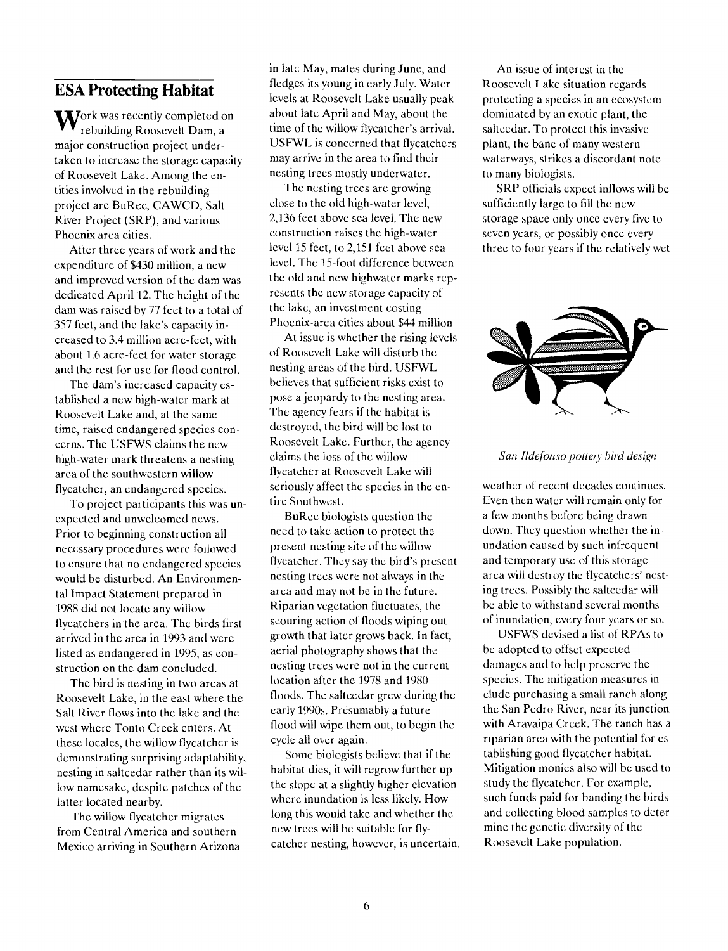#### ESA Protecting Habitat

**M** Jork was recently completed on rebuilding Roosevelt Dam, a major construction project undertaken to increase the storage capacity of Roosevelt Lake. Among the entities involved in the rebuilding project are BuRee, CAWCD, Salt River Project (SRP), and various Phoenix arca cities.

After three years of work and the expenditure of \$430 million, a new and improved version of the dam was dedicated April 12. The height of the dam was raised by 77 feet to a total of 357 feet, and the lake's capacity increased to 3.4 million acre-feet, with about 1.6 acre-feet for water storage and the rest for use for flood control.

The dam's increased capacity established a new high-water mark at Roosevelt Lake and, at the same time, raised endangered species concerns. The USFWS claims the new high-water mark threatens a nesting area of the southwestern willow flycatcher, an endangered species.

To project participants this was unexpected and unwelcomed news. Prior to beginning construction all necessary procedures were followed to ensure that no endangered species would be disturbed. An Environmental Impact Statement prepared in 1988 did not locate any willow flycatchers in the area. The birds first arrived in the area in 1993 and were listed as endangered in 1995, as construction on the dam concluded.

The bird is nesting in two areas at Roosevelt Lake, in the east where the Salt River flows into the lake and the west where Tonto Creek enters. At these locales, the willow flycatcher is demonstrating surprising adaptability, nesting in saltcedar rather than its willow namesake, despite patches of the latter located nearby.

The willow flycatcher migrates from Central America and southern Mexico arriving in Southern Arizona in late May, mates during June, and fledges its young in early July. Water levels at Roosevelt Lake usually peak about late April and May, about the time of the willow flycatcher's arrival. USFWL is concerned that flycatchers may arrive in the area to find their nesting trees mostly underwater.

The nesting trees are growing close to the old high-water level, 2,136 feet above sea level. The new construction raises the high-water level 15 feet, to 2,151 feet above sea level. The 15-foot difference between the old and new highwater marks represents the new storage capacity of the lake, an investment costing Phoenix-area cities about \$44 million

At issue is whether the rising levels of Roosevelt Lake will disturb the nesting areas of the bird. USFWL believes that sufficient risks exist to pose a jeopardy to the nesting area. The agency fears if the habitat is destroyed, the bird will he lost to Roosevelt Lake. Further, the agency claims the loss of the willow flycatcher at Roosevelt Lake will seriously affect the species in the entire Southwest.

BuRee biologists question the need to take action to protect the present nesting site of the willow flycatcher. They say the bird's present nesting trees were not always in the area and may not be in the future. Riparian vegetation fluctuates, the scouring action of floods wiping out growth that later grows back. In fact, aerial photography shows that the nesting trees were not in the current location after the 1978 and 1980 floods. The saltcedar grew during the early 1990s. Presumably a future flood will wipe them out, to begin the cycle all over again.

Some biologists believe that if the habitat dies, it will regrow further up the slope at a slightly higher elevation where inundation is less likely. How long this would take and whether the new trees will be suitable for flycatcher nesting, however, is uncertain.

An issue of interest in the Roosevelt Lake situation regards protecting a species in an ecosystem dominated by an exotic plant, the saltcedar. To protect this invasive plant, the bane of many western waterways, strikes a discordant note to many biologists.

SRP officials expect inflows will be sufficiently large to fill the new storage space only once every five to seven years, or possibly once every three to four years if the relatively wet



#### San Ildefonso pottery bird design

weather of recent decades continues. Even then water will remain only for a few months before being drawn down. They question whether the inundation caused by such infrequent and temporary use of this storage area will destroy the flycatchers' nesting trees. Possibly the salteedar will he able to withstand several months of inundation, every four years or so.

USFWS devised a list of RPAs to he adopted to offset expected damages and to help preserve the species. The mitigation measures include purchasing a small ranch along the San Pedro River, near its junction with Aravaipa Creek. The ranch has a riparian area with the potential for establishing good flycatcher habitat. Mitigation monies also will be used to study the flycatcher. For example, such funds paid for banding the birds and collecting blood samples to determine the genetic diversity of the Roosevelt Lake population.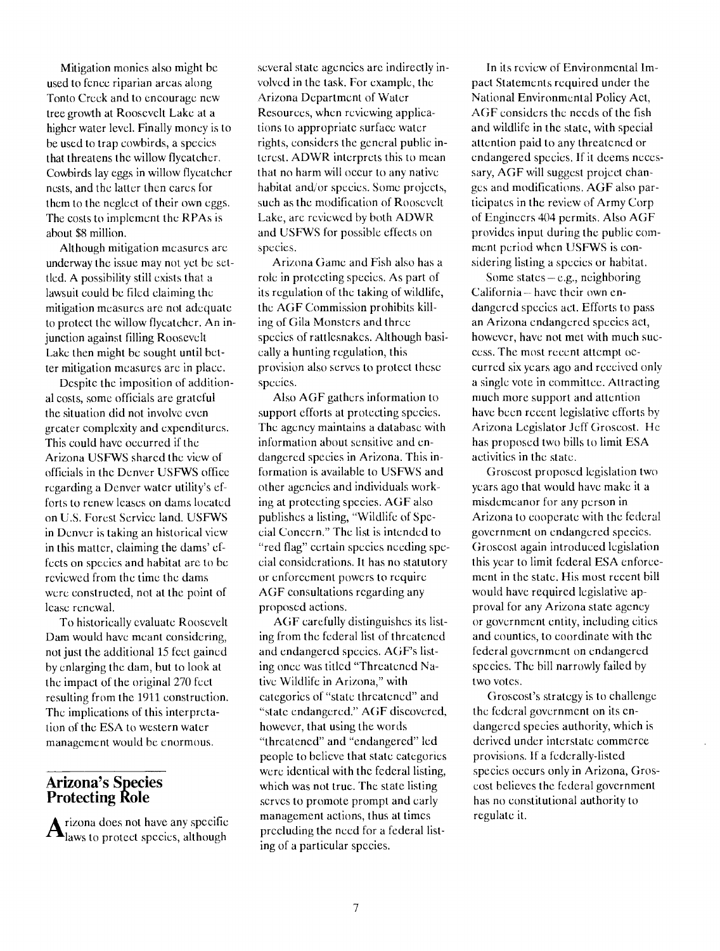Mitigation monies also might he used to fence riparian areas along Tonto Creek and to encourage new tree growth at Roosevelt Lake at a higher water level. Finally money is to be used to trap cowbirds, a species that threatens the willow flycatcher. Cowbirds lay eggs in willow flycatcher nests, and the latter then cares for them to the neglect of their own eggs. The costs to implement the RPAs is about \$8 million.

Although mitigation measures arc underway the issue may not yet be settled. A possibility still exists that a lawsuit could be filed claiming the mitigation measures are not adequate to protect the willow flycatcher. An injunction against filling Roosevelt Lake then might be sought until better mitigation measures are in place.

Despite the imposition of additional costs, some officials are grateful the situation did not involve even greater complexity and expenditures. This could have occurred if the Arizona USFWS shared the view of officials in the Denver USFWS office regarding a Denver water utility's efforts to renew leases on dams located on U.S. Forest Service land. USFWS in Denver is taking an historical view in this matter, claiming the dams' effects on species and habitat are to be reviewed from the time the dams were constructed, not at the point of lease renewal.

To historically evaluate Roosevelt Dam would have meant considering, not just the additional 15 feet gained by enlarging the dam, but to look at the impact of the original 270 feet resulting from the 1911 construction. The implications of this interpretation of the ESA to western water management would be enormous.

#### Arizona's Species Protecting Role

 $A<sub>laws</sub>$  to protect species, although  $A<sub>pre</sub>$ laws to protect species, although Fire

several state agencies are indirectly involved in the task. For example, the Arizona Department of Water Resources, when reviewing applications to appropriate surface water rights, considers the general public interest. ADWR interprets this to mean that no harm will occur to any native habitat and/or species. Some projects, such as the modification of Roosevelt Lake, are reviewed by both ADWR and USFWS for possible effects on species.

Arizona Game and Fish also has a role in protecting species. As part of its regulation of the taking of wildlife, the AGF Commission prohibits killing of Gila Monsters and three species of rattlesnakes. Although basically a hunting regulation, this provision also serves to protect these species.

Also AGF gathers information to support efforts at protecting species. The agency maintains a database with information about scnsìtive and endangered species in Arizona. This information is available to USFWS and other agencies and individuals working at protecting species. AGF also publishes a listing, "Wildlife of Special Concern." The list is intended to "red flag" certain species needing special considerations. lt has no statutory or enforcement powers to require AGF consultations regarding any proposed actions.

AGF carefully distinguishes its listing from the federal list of threatened and endangered species. AGF's listing once was titled "Threatened Native Wildlife in Arizona," with categories of "state threatened" and "state endangered." AGF discovered, however, that using the words "threatened" and "endangered" led people to believe that state categories were identical with the federal listing, which was not true. The state listing serves to promote prompt and early management actions, thus at times precluding the need for a federal listing of a particular species.

In its review of Environmental 1mpact Statements required under the National Environmental Policy Act, AGF considers the needs of the fish and wildlife in the state, with special attention paid to any threatened or endangered species. If it deems necessary, AGF will suggest project changes and modifications. AGF also participates in the review of Army Corp of Engineers 404 permits. Also AGF provides input during the public comment period when USFWS is considering listing a species or habitat.

Some states $-e.g.,$  neighboring California -- have their own endangered species act. Efforts to pass an Arizona endangered species act, however, have not met with much success. The most recent attempt occurred six years ago and received only a single vote in committee. Attracting much more support and attention have been recent legislative efforts by Arizona Legislator Jeff Groscost. He has proposed two bills to limit ESA activities in the state.

Groscost proposed legislation two years ago that would have make it a misdemeanor for any person in Arizona to cooperate with the federal government on endangered species. Groscost again introduced legislation this year to limit federal ESA enforcement in the state. His most recent bill would have required legislative approval for any Arizona state agency or government entity, including cities and counties, to coordinate with the federal government on endangered species. The bill narrowly failed by two votes.

Groscost's strategy is to challenge the federal government on its endangered species authority, which is derived under interstate commerce provisions, if a federally-listed species occurs only in Arizona, Groscost believes the federal government has no constitutional authority to regulate it.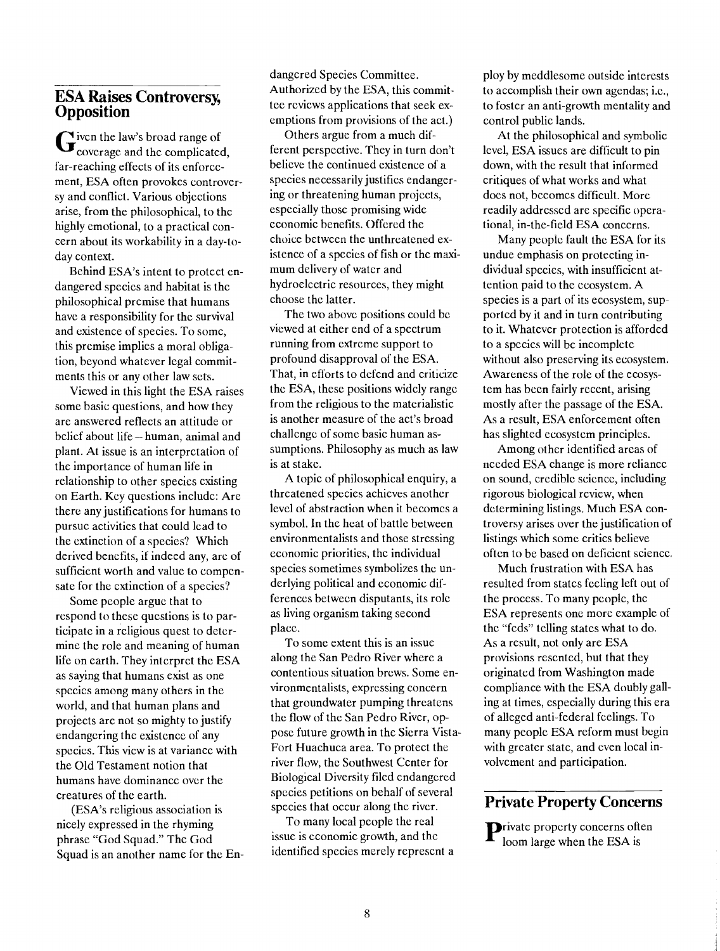#### ESA Raises Controversy, **Opposition**

 $\mathbf{G}$  iven the law's broad range of<br>coverage and the complicated, far-reaching effects of its enforcement, ESA often provokes controversy and conflict. Various objections arise, from the philosophical, to the highly emotional, to a practical concern about its workability in a day-today context.

Behind ESA's intent to protect endangered species and habitat is the philosophical premise that humans have a responsibility for the survival and existence of species. To some, this premise implies a moral obligation, beyond whatever legal commitments this or any other law sets.

Viewed in this light the ESA raises some basic questions, and how they are answered reflects an attitude or belief about life - human, animal and plant. At issue is an interpretation of the importance of human life in relationship to other species existing on Earth. Key questions include: Are there any justifications for humans to pursue activities that could lead to the extinction of a species? Which derived benefits, if indeed any, are of sufficient worth and value to compensate for the extinction of a species?

Some people argue that to respond to these questions is to participate in a religious quest to determine the role and meaning of human life on earth. They interpret the ESA as saying that humans exist as one species among many others in the world, and that human plans and projects are not so mighty to justify endangering the existence of any species. This view is at variance with the Old Testament notion that humans have dominance over the creatures of the earth.

(ESA's religious association is nicely expressed in the rhyming phrase "God Squad." The God Squad is an another name for the Endangered Species Committee. Authorized by the ESA, this committee reviews applications that seek exemptions from provisions of the act.)

Others argue from a much different perspective. They in turn don't believe the continued existence of a species necessarily justifies endangering or threatening human projects, especially those promising wide economic benefits. Offered the choice between the unthreatened existence of a species of fish or the maximum delivery of water and hydroelectric resources, they might choose the latter.

The two above positions could be viewed at either end of a spectrum running from extreme support to profound disapproval of the ESA. That, in efforts to defend and criticize the ESA, these positions widely range from the religious to the materialistic is another measure of the act's broad challenge of some basic human assumptions. Philosophy as much as law is at stake.

A topic of philosophical enquiry, a threatened species achieves another level of abstraction when it becomes a symbol. In the heat of battle between environmentalists and those stressing economic priorities, the individual species sometimes symbolizes the underlying political and economic differences between disputants, its role as living organism taking second place.

To some extent this is an issue along the San Pedro River where a contentious situation brews. Some environmentalists, expressing concern that groundwater pumping threatens the flow of the San Pedro River, oppose future growth in the Sierra Vista-Fort Huachuca area. To protect the river flow, the Southwest Center for Biological Diversity filed endangered species petitions on behalf of several species that occur along the river.

To many local people the real issue is economic growth, and the identified species merely represent a ploy by meddlesome outside interests to accomplish their own agendas; i.e., to foster an anti-growth mentality and control public lands.

At the philosophical and symbolic level, ESA issues are difficult to pin down, with the result that informed critiques of what works and what does not, becomes difficult. More readily addressed are specific operational, in-the-field ESA concerns.

Many people fault the ESA for its undue emphasis on protecting individual species, with insufficient attention paid to the ecosystem. A species is a part of its ecosystem, supported by it and in turn contributing to it. Whatever protection is afforded to a species will be incomplete without also preserving its ecosystem. Awareness of the role of the ecosystem has been fairly recent, arising mostly after the passage of the ESA. As a result, ESA enforcement often has slighted ecosystem principles.

Among other identified areas of needed ESA change is more reliance on sound, credible science, including rigorous biological review, when determining listings. Much ESA controversy arises over the justification of listings which some critics believe often to be based on deficient science.

Much frustration with ESA has resulted from states feeling left out of the process. To many people, the ESA represents one more example of the "feds" telling states what to do, As a result, not only are ESA provisions resented, but that they originated from Washington made compliance with the ESA doubly galling at times, especially during this era of alleged anti-federal feelings. To many people ESA reform must begin with greater state, and even local involvement and participation.

#### Private Property Concerns

 ${\bf P}^{\text{rivate}}$  property concerns often<br>loom large when the ESA is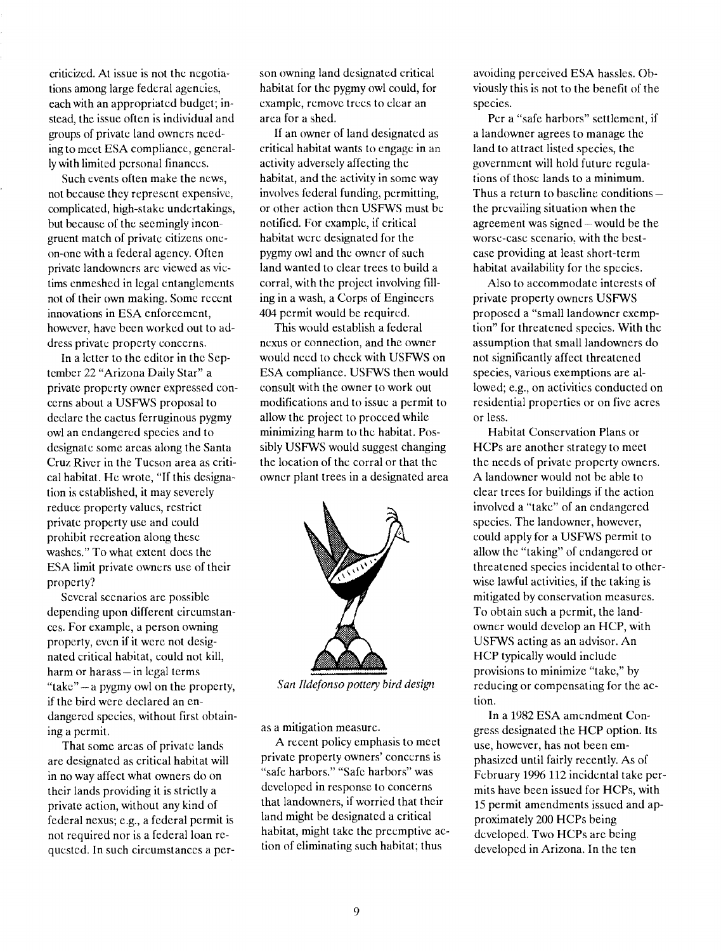criticized. At issue is not the negotia- [ions among large federal agencies, each with an appropriated budget; instead, the issue often is individual and groups of private land owners needing to meet ESA compliance, generally with limited personal finances.

Such events often make the news, not because they represent expensive, complicated, high-stake undertakings, but because of the seemingly incongruent match of private citizens oneon-one with a federal agency. Often private landowners are viewed as victims enmeshed in legal entanglements not of their own making. Some recent innovations in ESA enforcement, however, have been worked out to address private property concerns.

In a letter to the editor in the September 22 "Arizona Daily Star" a private property owner expressed concerns about a USFWS proposal to declare the cactus ferruginous pygmy owl an endangered species and to designate some areas along the Santa Cruz River in the Tucson area as critical habitat. He wrote, "If this designation is established, it may severely reduce property values, restrict private property use and could prohibit recreation along these washes." To what extent does the ESA limit private owners use of their property?

Several scenarios are possible depending upon different circumstances. For example, a person owning property, even if it were not designated critical habitat, could not kill, harm or harass $-$  in legal terms "take" - a pygmy owl on the property, if the bird were declared an endangered species, without first obtaining a permit.

That some areas of private lands are designated as critical habitat will in no way affect what owners do on their lands providing it is strictly a private action, without any kind of federal nexus; e.g., a federal permit is not required nor is a federal loan requested. In such circumstances a person owning land designated critical habitat for the pygmy owl could, for example, remove trees to clear an area for a shed.

If an owner of land designated as critical habitat wants to engage in an activity adversely affecting the habitat, and the activity in some way involves federal funding, permitting, or other action then USFWS must be notified. For example, if critical habitat were designated for the pygmy owl and the owner of such land wanted to clear trees to build a corral, with the project involving filling in a wash, a Corps of Engineers 404 permit would be required.

This would establish a federal nexus or connection, and the owner would need to check with USFWS on ESA compliance. USFWS then would consult with the owner to work out modifications and to issue a permit to allow the project to proceed while minimizing harm to the habitat. Possibly USFWS would suggest changing the location of the corral or that the owner plant trees in a designated area



San Ildefonso pottery bird design

as a mitigation measure.

A recent policy emphasis to meet private property owners' concerns is "safe harbors." "Safe harbors" was developed in response to concerns that landowners, if worried that their land might he designated a critical habitat, might take the preemptive action of eliminating such habitat; thus

avoiding perceived ESA hassles. Obviously this is not to the benefit of the species.

Per a "safe harbors" settlement, if a landowner agrees to manage the land to attract listed species, the government will hold future regula- [ions of those lands to a minimum. Thus a return to baseline conditions $$ the prevailing situation when the agreement was signed – would be the worse-case scenario, with the bestcase providing at least short-term habitat availability for the species.

Also to accommodate interests of private property owners USFWS proposed a "small landowner exemption" for threatened species. With the assumption that small landowners do not significantly affect threatened species, various exemptions are allowed; e.g., on activities conducted on residential properties or on five acres or less.

Habitat Conservation Plans or HCPs are another strategy to meet the needs of private property owners. A landowner would not be able to clear trees for buildings if the action involved a "take" of an endangered species. The landowner, however, could apply for a USFWS permit to allow the "taking" of endangered or threatened species incidental to otherwise lawful activities, if the taking is mitigated by conservation measures. To obtain such a permit, the landowner would develop an HCP, with USFWS acting as an advisor. An HCP typically would include provisions to minimize "take," by reducing or compensating for the action.

In a 1982 ESA amendment Congress designated the HCP option. Its use, however, has not been emphasized until fairly recently. As of February 1996 112 incidental take permits have been issued for HCPs, with 15 permit amendments issued and approximately 200 HCPs being developed. Two HCPs are being developed in Arizona. In the ten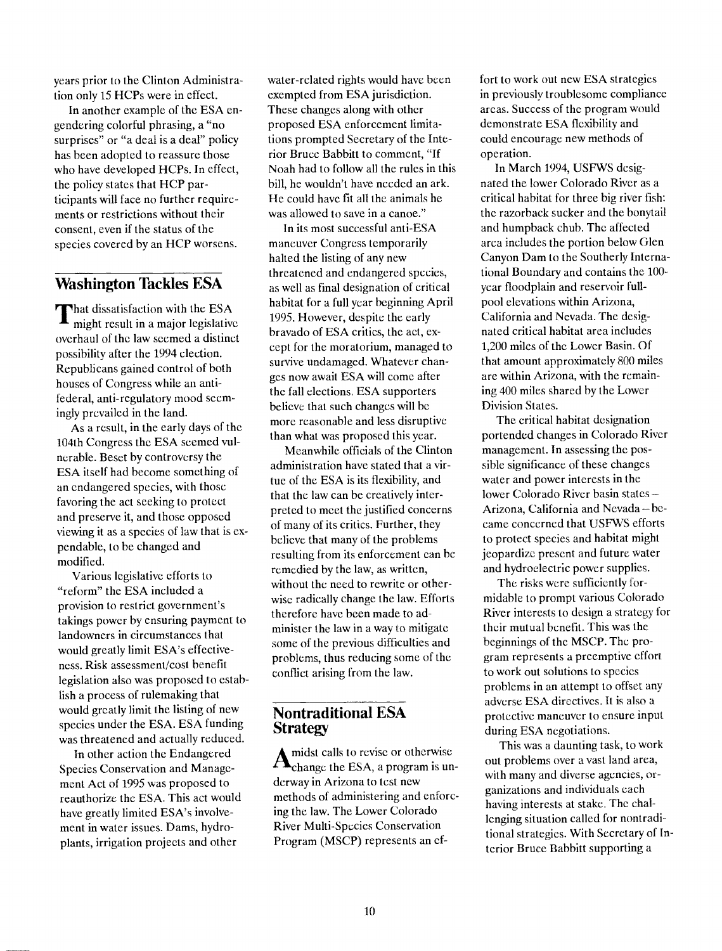years prior to the Clinton Administration only 15 HCPs were in effect.

In another example of the ESA engendering colorful phrasing, a "no surprises" or "a deal is a deal" policy has been adopted to reassure those who have developed HCPs. In effect, the policy states that HCP participants will face no further requirements or restrictions without their consent, even if the status of the species covered by an HCP worsens.

#### Washington Tackles ESA

That dissatisfaction with the ESA  $\frac{1000 \text{ rad/s}}{1995. \text{ Hc}}$ might result in a major legislative overhaul of the law seemed a distinct possibility after the 1994 election. Republicans gained control of both houses of Congress while an antifederal, anti-regulatory mood seemingly prevailed in the land.

As a result, in the early days of the 104th Congress the ESA seemed vulnerable. Beset by controversy the ESA itself had become something of an endangered species, with those favoring the act seeking to protect and preserve it, and those opposed viewing it as a species of law that is expendable, to be changed and modified.

Various legislative efforts to "reform" the ESA included a provision to restrict government's takings power by ensuring payment to landowners in circumstances that would greatly limit ESA's effectiveness. Risk assessment/cost benefit legislation also was proposed to establish a process of rulemaking that would greatly limit the listing of new species under the ESA. ESA funding was threatened and actually reduced.

In other action the Endangered Species Conservation and Management Act of 1995 was proposed to reauthorize the ESA. This act would have greatly limited ESA's involvement in water issues. Dams, hydroplants, irrigation projects and other

water-related rights would have been exempted from ESA jurisdiction. These changes along with other proposed ESA enforcement limitations prompted Secretary of the Interior Bruce Babbitt to comment, "If Noah had to follow all the rules in this bill, he wouldn't have needed an ark. He could have fit all the animals he was allowed to save in a canoe."

In its most successful anti-ESA maneuver Congress temporarily halted the listing of any new threatened and endangered species, as well as final designation of critical habitat for a full year beginning April 1995. However, despite the early bravado of ESA critics, the act, except for the moratorium, managed to survive undamaged. Whatever changes now await ESA will come after the fall elections. ESA supporters believe that such changes will be more reasonable and less disruptive than what was proposed this year.

Meanwhile officials of the Clinton administration have stated that a virtue of the ESA is its flexibility, and that the law can be creatively interpreted to meet the justified concerns of many of its critics. Further, they believe that many of the problems resulting from its enforcement can he remedied by the law, as written, without the need to rewrite or otherwise radically change the law. Efforts therefore have been made to administer the law in a way to mitigate some of the previous difficulties and problems, thus reducing some of the conflict arising from the law.

#### Nontraditional ESA **Strategy**

 $\mathbf{A}_{\text{change}}$  the ESA, a program is unchange the ESA, a program is underway in Arizona to test new methods of administering and enforcing the law. The Lower Colorado River Multi-Species Conservation Program (MSCP) represents an cf-

fort to work out new ESA strategies in previously troublesome compliance areas. Success of the program would demonstrate ESA flexibility and could encourage new methods of operation.

In March 1994, USFWS designated the lower Colorado River as a critical habitat for three big river fish: the razorback sucker and the bonytail and humpback chub, The affected arca includes the portion below Glen Canyon Dam to the Southerly International Boundary and contains the 100 year floodplain and reservoir fullpool elevations within Arizona, California and Nevada. The designated critical habitat arca includes 1,200 miles of the Lower Basin. Of that amount approximately 800 miles are within Arizona, with the remaining 400 miles shared by the Lower Division States.

The critical habitat designation portended changes in Colorado River management. In assessing the possible significance of these changes water and power interests in the lower Colorado River basin states -Arizona, California and Nevada-became concerned that USFWS efforts to protect species and habitat might jeopardize present and future water and hydroelectric power supplies.

The risks were sufficiently formidable to prompt various Colorado River interests to design a strategy for their mutual benefit. This was the beginnings of the MSCP. The program represents a preemptive effort to work out solutions to species problems in an attempt to offset any adverse ESA directives. It is also a protective maneuver to ensure input during ESA negotiations.

This was a daunting task, to work out problems over a vast land area, with many and diverse agencies, organizations and individuals each having interests at stake. The challenging situation called for nontraditional strategies. With Secretary of Interior Bruce Babbitt supporting a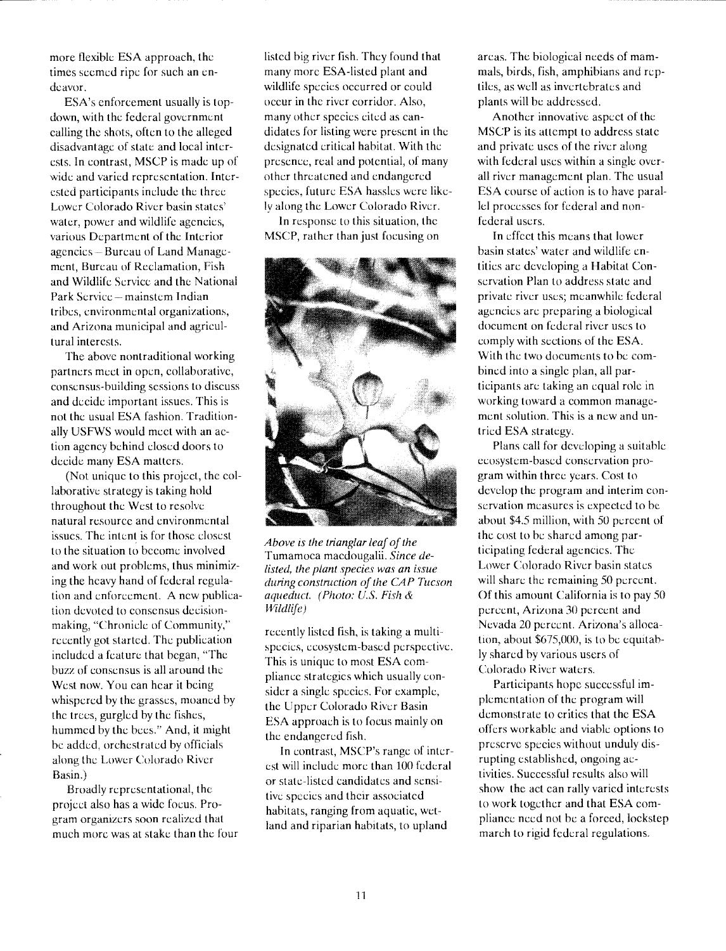more flexible ESA approach, the times seemed ripe for such an endeavor.

ESA's enforcement usually is topdown, with the federal government calling the shots, often to the alleged disadvantage of state and local interests. In contrast, MSCP is made up of wide and varied representation. Interested participants include the three Lower Colorado River basin states' water, power and wildlife agencies, various Department of the Interior agencies - Bureau of Land Management, Bureau of Reclamation, Fish and Wildlife Service and the National Park Service – mainstem Indian tribes, environmental organizations, and Arizona municipal and agricultural interests.

The above nontraditional working partners meet in open, collaborative, consensus-building sessions to discuss and decide important issues. This is not the usual ESA fashion. Traditionally USFWS would mccl with an action agency behind closed doors to decide many ESA matters.

(Not unique to this project, the collaborative strategy is taking hold throughout the West to resolve natural resource and environmental issues. The intent is for those closest to the situation to become involved and work out problems, thus minimizing the heavy hand of federal regulation and enforcement. A new publication devoted to consensus decisionmaking, "Chronicle of Community," recently got started. The publication included a feature that began, "The buzz of consensus is all around the West now. You can hear it being whispered by the grasses, moaned by the trees, gurgled by the fishes, hummed by the bees." And, it might he added, orchestrated by officials along the Lower Colorado River Basin.)

Broadly representational, the project also has a wide focus. Program organizers soon realized that much more was at stake than the four

listed big river fish. They found that many more ESA-listed plant and wildlife species occurred or could occur in the river corridor. Also, many other species cited as candidates for listing were present in the designated critical habitat. With the presence, real and potential, of many other threatened and endangered species, future ESA hassles were likely along the Lower Colorado River.

In response to this situation, the MSCP, rather than just focusing on



Above is the trianglar leaf of the Tumamoca macdougalii. Since delisted, the plant species was an issue during construction of the CAP Tucson aqueduct. (Photo: U.S. Fish & U'ldlife)

recently listed fish, is taking a multispecies, ecosystem-based perspective. This is unique to most ESA compliance strategies which usually consider a single species. For example, the Upper Colorado River Basin ESA approach is to focus mainly on the endangered fish.

In contrast, MSCP's range of interest will include more than 100 federal or state-listed candidates and sensitive species and their associated habitats, ranging from aquatic, wetland and riparian habitats, to upland

areas. The biological needs of mammais, birds, fish, amphibians and reptiles, as well as invertebrates and plants will be addressed.

Another innovative aspect of the MSCP is its attempt to address state and private uses of the river along with federal uses within a single overall river management plan. The usual ESA course of action is to have parallel processes for federal and nonfederal users.

In effect this means that lower basin states' water and wildlife entities are developing a Habitat Conservation Plan to address state and private river uses; meanwhile federal agencies are preparing a biological document on federal river uses to comply with sections of the ESA. With the two documents to be combined into a single plan, all participants are taking an equal role in working toward a common management solution. This is a new and untried ESA strategy.

Plans call for developing a suitable ecosystem-based conservation program within three years. Cost to develop the program and interim conservation measures is expected to be about \$4.5 million, with 50 percent of the cost to be shared among participating federal agencies. The Lower Colorado River basin states will share the remaining 50 percent. Of this amount California is to pay 50 percent, Arizona 30 percent and Nevada 20 percent. Arizona's albeation, about \$675,000, is to be equitably shared by various users of Colorado River waters.

Participants hope successful implementation of the program will demonstrate to critics that the ESA offers workable and viable options to preserve species without unduly disrupting established, ongoing activities. Successful results also will show the act can rally varied interests to work together and that ESA compliance need not he a forced, lockstep march to rigid federal regulations.